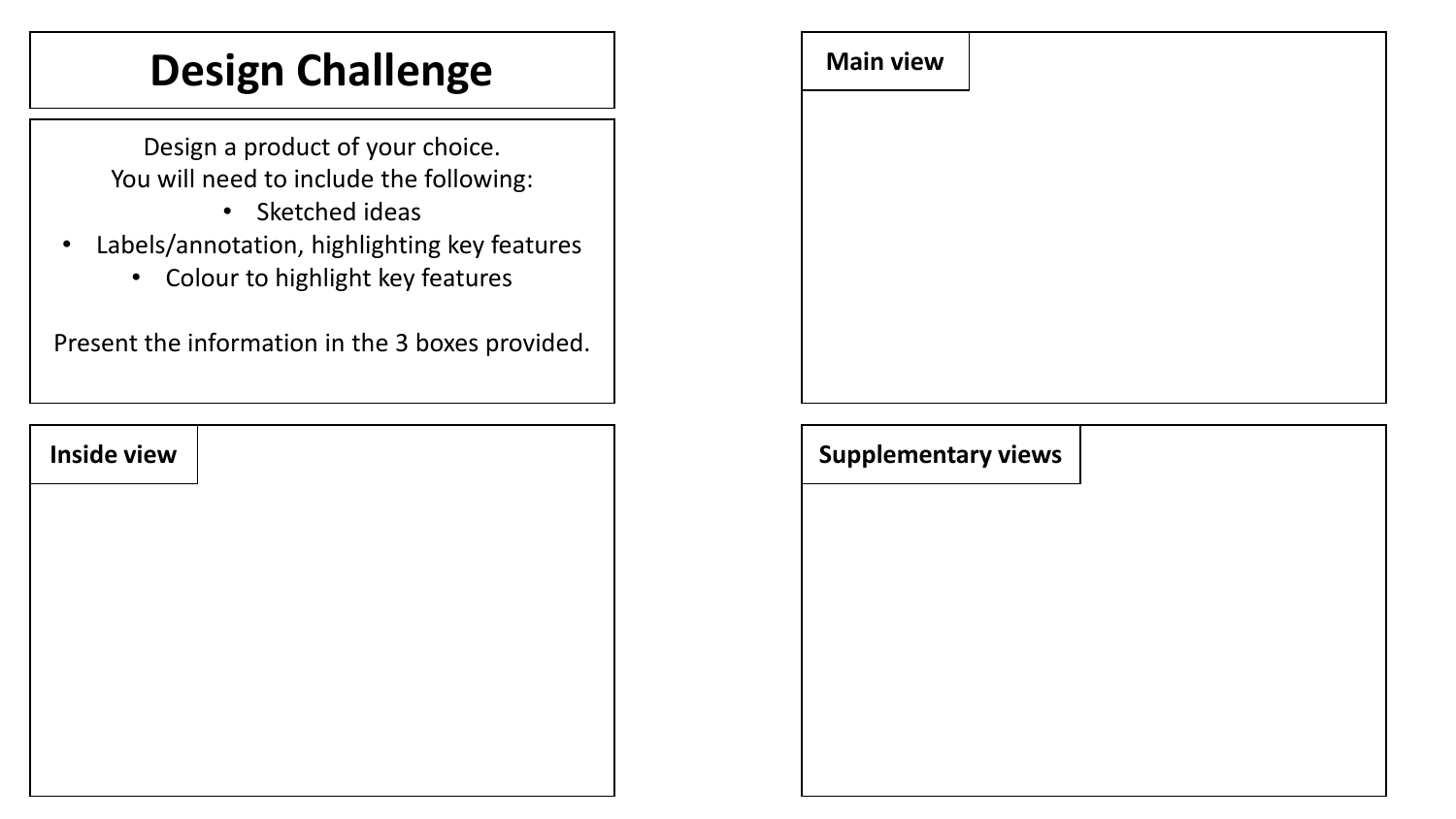## **Design Challenge**  $\qquad \qquad$  Main view

Design a product of your choice. You will need to include the following:

- Sketched ideas
- Labels/annotation, highlighting key features
	- Colour to highlight key features

Present the information in the 3 boxes provided.

| <b>Inside view</b> |  |
|--------------------|--|
|                    |  |
|                    |  |
|                    |  |
|                    |  |
|                    |  |



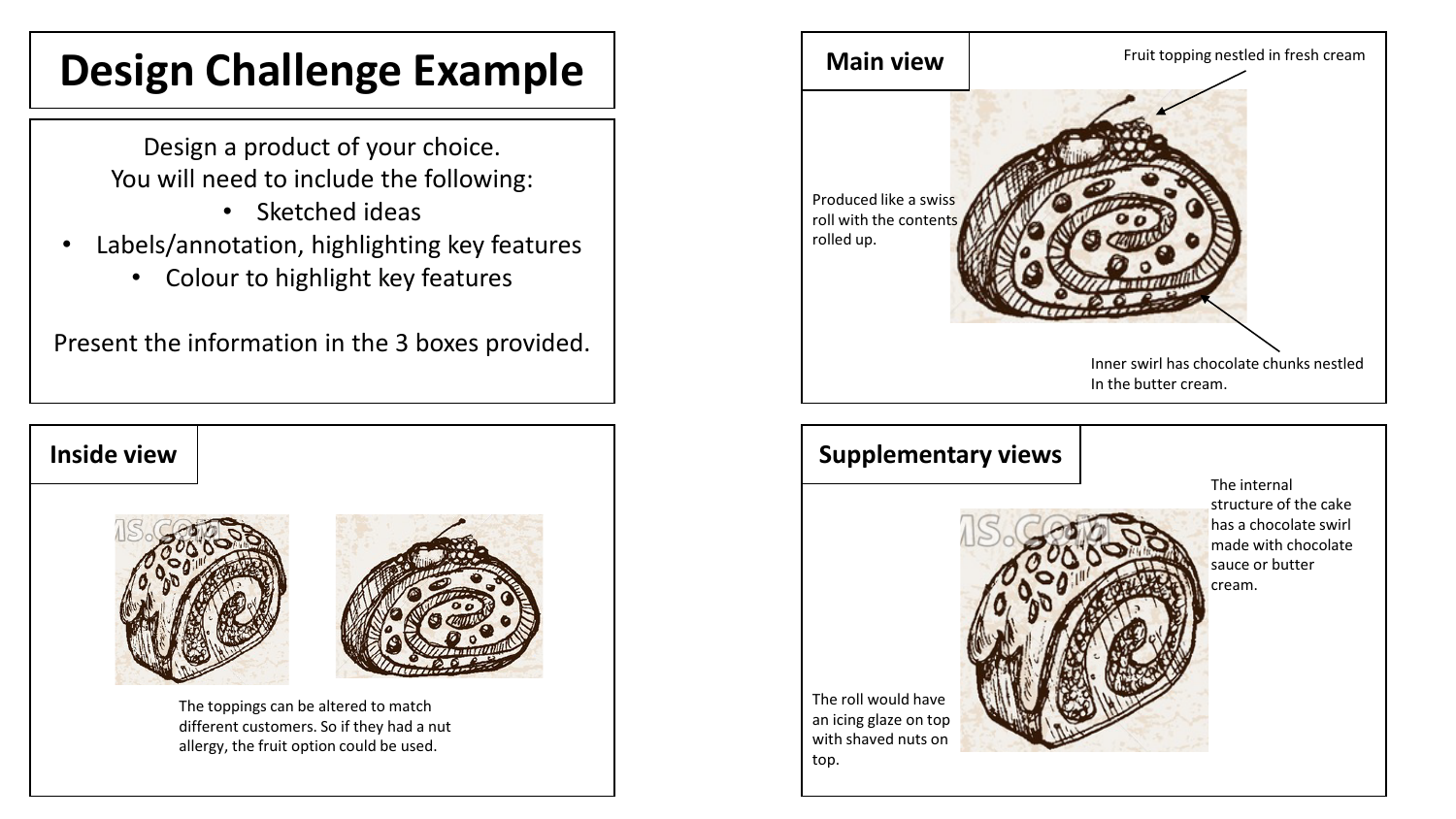## **Design Challenge Example**  $\vert$  Main view

Design a product of your choice. You will need to include the following:

- Sketched ideas
- Labels/annotation, highlighting key features
	- Colour to highlight key features

Present the information in the 3 boxes provided.





The toppings can be altered to match different customers. So if they had a nut allergy, the fruit option could be used.